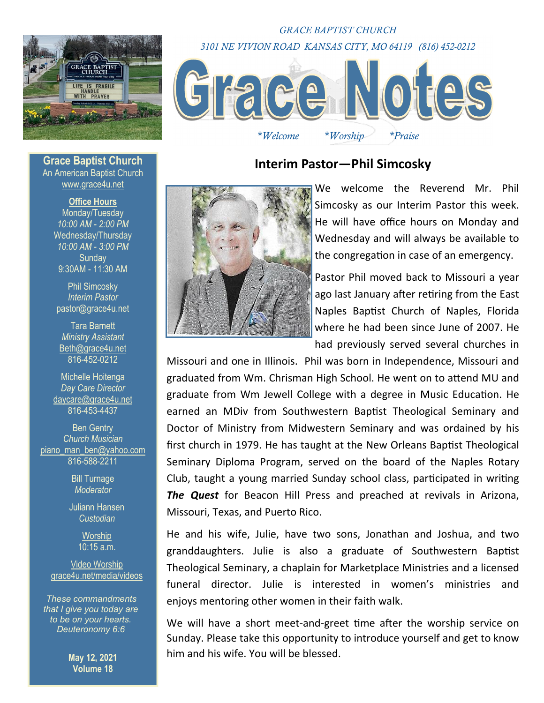

*GRACE BAPTIST CHURCH 3101 NE VIVION ROAD KANSAS CITY, MO 64119 (816) 452-0212* 



*\*Welcome \*Worship \*Praise* 

## **Interim Pastor—Phil Simcosky**



We welcome the Reverend Mr. Phil Simcosky as our Interim Pastor this week. He will have office hours on Monday and Wednesday and will always be available to the congregation in case of an emergency.

Pastor Phil moved back to Missouri a year ago last January after retiring from the East Naples Baptist Church of Naples, Florida where he had been since June of 2007. He had previously served several churches in

Missouri and one in Illinois. Phil was born in Independence, Missouri and graduated from Wm. Chrisman High School. He went on to attend MU and graduate from Wm Jewell College with a degree in Music Education. He earned an MDiv from Southwestern Baptist Theological Seminary and Doctor of Ministry from Midwestern Seminary and was ordained by his first church in 1979. He has taught at the New Orleans Baptist Theological Seminary Diploma Program, served on the board of the Naples Rotary Club, taught a young married Sunday school class, participated in writing *The Quest* for Beacon Hill Press and preached at revivals in Arizona, Missouri, Texas, and Puerto Rico.

He and his wife, Julie, have two sons, Jonathan and Joshua, and two granddaughters. Julie is also a graduate of Southwestern Baptist Theological Seminary, a chaplain for Marketplace Ministries and a licensed funeral director. Julie is interested in women's ministries and enjoys mentoring other women in their faith walk.

We will have a short meet-and-greet time after the worship service on Sunday. Please take this opportunity to introduce yourself and get to know him and his wife. You will be blessed.

**Grace Baptist Church**  An American Baptist Church www.grace4u.net

> **Office Hours**  Monday/Tuesday

*10:00 AM - 2:00 PM*  Wednesday/Thursday *10:00 AM - 3:00 PM*  **Sundav** 9:30AM - 11:30 AM

Phil Simcosky *Interim Pastor*  pastor@grace4u.net

Tara Barnett *Ministry Assistant*  Beth@grace4u.net 816-452-0212

Michelle Hoitenga *Day Care Director*  daycare@grace4u.net 816-453-4437

Ben Gentry *Church Musician*  piano\_man\_ben@yahoo.com 816-588-2211

> Bill Turnage *Moderator*

Juliann Hansen *Custodian* 

> Worship 10:15 a.m.

Video Worship grace4u.net/media/videos

*These commandments that I give you today are to be on your hearts. Deuteronomy 6:6*

> **May 12, 2021 Volume 18**